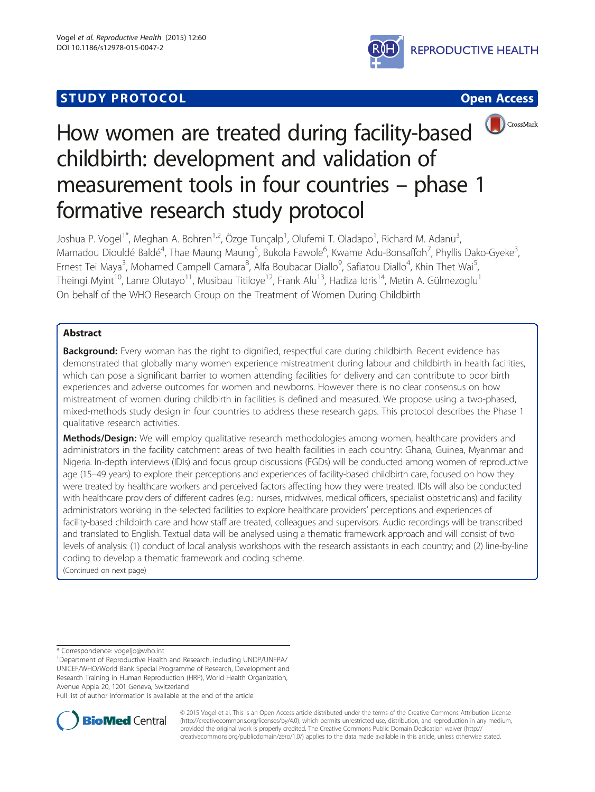# **STUDY PROTOCOL CONSUMING THE CONSUMING OPEN ACCESS**







# How women are treated during facility-based childbirth: development and validation of measurement tools in four countries – phase 1 formative research study protocol

Joshua P. Vogel<sup>1\*</sup>, Meghan A. Bohren<sup>1,2</sup>, Özge Tunçalp<sup>1</sup>, Olufemi T. Oladapo<sup>1</sup>, Richard M. Adanu<sup>3</sup> , Mamadou Diouldé Baldé<sup>4</sup>, Thae Maung Maung<sup>5</sup>, Bukola Fawole<sup>6</sup>, Kwame Adu-Bonsaffoh<sup>7</sup>, Phyllis Dako-Gyeke<sup>3</sup> , Ernest Tei Maya<sup>3</sup>, Mohamed Campell Camara<sup>8</sup>, Alfa Boubacar Diallo<sup>9</sup>, Safiatou Diallo<sup>4</sup>, Khin Thet Wai<sup>5</sup> , Theingi Myint<sup>10</sup>, Lanre Olutayo<sup>11</sup>, Musibau Titiloye<sup>12</sup>, Frank Alu<sup>13</sup>, Hadiza Idris<sup>14</sup>, Metin A. Gülmezoglu<sup>1</sup> On behalf of the WHO Research Group on the Treatment of Women During Childbirth

# Abstract

**Background:** Every woman has the right to dignified, respectful care during childbirth. Recent evidence has demonstrated that globally many women experience mistreatment during labour and childbirth in health facilities, which can pose a significant barrier to women attending facilities for delivery and can contribute to poor birth experiences and adverse outcomes for women and newborns. However there is no clear consensus on how mistreatment of women during childbirth in facilities is defined and measured. We propose using a two-phased, mixed-methods study design in four countries to address these research gaps. This protocol describes the Phase 1 qualitative research activities.

Methods/Design: We will employ qualitative research methodologies among women, healthcare providers and administrators in the facility catchment areas of two health facilities in each country: Ghana, Guinea, Myanmar and Nigeria. In-depth interviews (IDIs) and focus group discussions (FGDs) will be conducted among women of reproductive age (15–49 years) to explore their perceptions and experiences of facility-based childbirth care, focused on how they were treated by healthcare workers and perceived factors affecting how they were treated. IDIs will also be conducted with healthcare providers of different cadres (e.g.: nurses, midwives, medical officers, specialist obstetricians) and facility administrators working in the selected facilities to explore healthcare providers' perceptions and experiences of facility-based childbirth care and how staff are treated, colleagues and supervisors. Audio recordings will be transcribed and translated to English. Textual data will be analysed using a thematic framework approach and will consist of two levels of analysis: (1) conduct of local analysis workshops with the research assistants in each country; and (2) line-by-line coding to develop a thematic framework and coding scheme.

(Continued on next page)

\* Correspondence: [vogeljo@who.int](mailto:vogeljo@who.int) <sup>1</sup>

Department of Reproductive Health and Research, including UNDP/UNFPA/ UNICEF/WHO/World Bank Special Programme of Research, Development and Research Training in Human Reproduction (HRP), World Health Organization, Avenue Appia 20, 1201 Geneva, Switzerland

Full list of author information is available at the end of the article



© 2015 Vogel et al. This is an Open Access article distributed under the terms of the Creative Commons Attribution License [\(http://creativecommons.org/licenses/by/4.0\)](http://creativecommons.org/licenses/by/4.0), which permits unrestricted use, distribution, and reproduction in any medium, provided the original work is properly credited. The Creative Commons Public Domain Dedication waiver [\(http://](http://creativecommons.org/publicdomain/zero/1.0/) [creativecommons.org/publicdomain/zero/1.0/\)](http://creativecommons.org/publicdomain/zero/1.0/) applies to the data made available in this article, unless otherwise stated.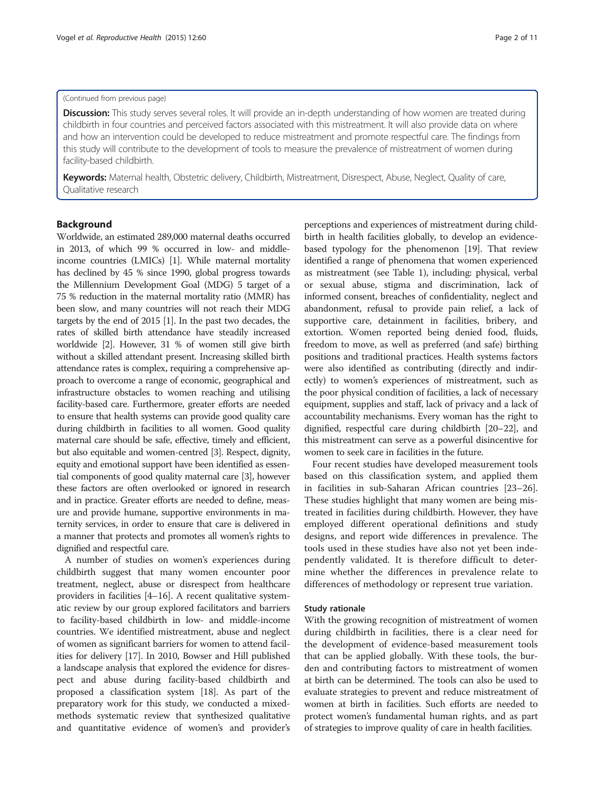#### (Continued from previous page)

Discussion: This study serves several roles. It will provide an in-depth understanding of how women are treated during childbirth in four countries and perceived factors associated with this mistreatment. It will also provide data on where and how an intervention could be developed to reduce mistreatment and promote respectful care. The findings from this study will contribute to the development of tools to measure the prevalence of mistreatment of women during facility-based childbirth.

Keywords: Maternal health, Obstetric delivery, Childbirth, Mistreatment, Disrespect, Abuse, Neglect, Quality of care, Qualitative research

# Background

Worldwide, an estimated 289,000 maternal deaths occurred in 2013, of which 99 % occurred in low- and middleincome countries (LMICs) [\[1](#page-10-0)]. While maternal mortality has declined by 45 % since 1990, global progress towards the Millennium Development Goal (MDG) 5 target of a 75 % reduction in the maternal mortality ratio (MMR) has been slow, and many countries will not reach their MDG targets by the end of 2015 [\[1](#page-10-0)]. In the past two decades, the rates of skilled birth attendance have steadily increased worldwide [\[2\]](#page-10-0). However, 31 % of women still give birth without a skilled attendant present. Increasing skilled birth attendance rates is complex, requiring a comprehensive approach to overcome a range of economic, geographical and infrastructure obstacles to women reaching and utilising facility-based care. Furthermore, greater efforts are needed to ensure that health systems can provide good quality care during childbirth in facilities to all women. Good quality maternal care should be safe, effective, timely and efficient, but also equitable and women-centred [\[3\]](#page-10-0). Respect, dignity, equity and emotional support have been identified as essential components of good quality maternal care [[3](#page-10-0)], however these factors are often overlooked or ignored in research and in practice. Greater efforts are needed to define, measure and provide humane, supportive environments in maternity services, in order to ensure that care is delivered in a manner that protects and promotes all women's rights to dignified and respectful care.

A number of studies on women's experiences during childbirth suggest that many women encounter poor treatment, neglect, abuse or disrespect from healthcare providers in facilities [[4](#page-10-0)–[16\]](#page-10-0). A recent qualitative systematic review by our group explored facilitators and barriers to facility-based childbirth in low- and middle-income countries. We identified mistreatment, abuse and neglect of women as significant barriers for women to attend facilities for delivery [\[17\]](#page-10-0). In 2010, Bowser and Hill published a landscape analysis that explored the evidence for disrespect and abuse during facility-based childbirth and proposed a classification system [[18](#page-10-0)]. As part of the preparatory work for this study, we conducted a mixedmethods systematic review that synthesized qualitative and quantitative evidence of women's and provider's

perceptions and experiences of mistreatment during childbirth in health facilities globally, to develop an evidencebased typology for the phenomenon [\[19\]](#page-10-0). That review identified a range of phenomena that women experienced as mistreatment (see Table [1\)](#page-2-0), including: physical, verbal or sexual abuse, stigma and discrimination, lack of informed consent, breaches of confidentiality, neglect and abandonment, refusal to provide pain relief, a lack of supportive care, detainment in facilities, bribery, and extortion. Women reported being denied food, fluids, freedom to move, as well as preferred (and safe) birthing positions and traditional practices. Health systems factors were also identified as contributing (directly and indirectly) to women's experiences of mistreatment, such as the poor physical condition of facilities, a lack of necessary equipment, supplies and staff, lack of privacy and a lack of accountability mechanisms. Every woman has the right to dignified, respectful care during childbirth [[20](#page-10-0)–[22\]](#page-10-0), and this mistreatment can serve as a powerful disincentive for women to seek care in facilities in the future.

Four recent studies have developed measurement tools based on this classification system, and applied them in facilities in sub-Saharan African countries [[23](#page-10-0)–[26](#page-10-0)]. These studies highlight that many women are being mistreated in facilities during childbirth. However, they have employed different operational definitions and study designs, and report wide differences in prevalence. The tools used in these studies have also not yet been independently validated. It is therefore difficult to determine whether the differences in prevalence relate to differences of methodology or represent true variation.

#### Study rationale

With the growing recognition of mistreatment of women during childbirth in facilities, there is a clear need for the development of evidence-based measurement tools that can be applied globally. With these tools, the burden and contributing factors to mistreatment of women at birth can be determined. The tools can also be used to evaluate strategies to prevent and reduce mistreatment of women at birth in facilities. Such efforts are needed to protect women's fundamental human rights, and as part of strategies to improve quality of care in health facilities.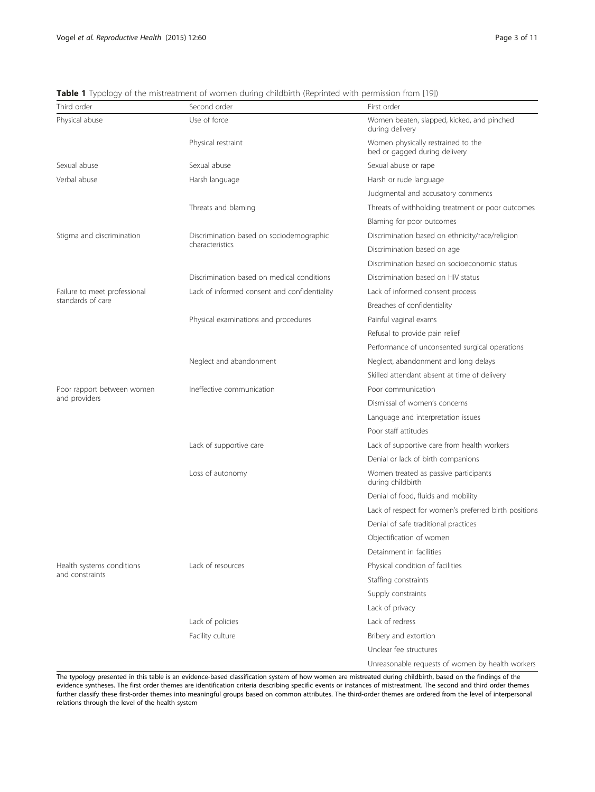| Third order                  | Second order                                 | First order                                                         |  |  |  |
|------------------------------|----------------------------------------------|---------------------------------------------------------------------|--|--|--|
| Physical abuse               | Use of force                                 | Women beaten, slapped, kicked, and pinched<br>during delivery       |  |  |  |
|                              | Physical restraint                           | Women physically restrained to the<br>bed or gagged during delivery |  |  |  |
| Sexual abuse                 | Sexual abuse                                 | Sexual abuse or rape                                                |  |  |  |
| Verbal abuse                 | Harsh language                               | Harsh or rude language                                              |  |  |  |
|                              |                                              | Judgmental and accusatory comments                                  |  |  |  |
|                              | Threats and blaming                          | Threats of withholding treatment or poor outcomes                   |  |  |  |
|                              |                                              | Blaming for poor outcomes                                           |  |  |  |
| Stigma and discrimination    | Discrimination based on sociodemographic     | Discrimination based on ethnicity/race/religion                     |  |  |  |
|                              | characteristics                              | Discrimination based on age                                         |  |  |  |
|                              |                                              | Discrimination based on socioeconomic status                        |  |  |  |
|                              | Discrimination based on medical conditions   | Discrimination based on HIV status                                  |  |  |  |
| Failure to meet professional | Lack of informed consent and confidentiality | Lack of informed consent process                                    |  |  |  |
| standards of care            |                                              | Breaches of confidentiality                                         |  |  |  |
|                              | Physical examinations and procedures         | Painful vaginal exams                                               |  |  |  |
|                              |                                              | Refusal to provide pain relief                                      |  |  |  |
|                              |                                              | Performance of unconsented surgical operations                      |  |  |  |
|                              | Neglect and abandonment                      | Neglect, abandonment and long delays                                |  |  |  |
|                              |                                              | Skilled attendant absent at time of delivery                        |  |  |  |
| Poor rapport between women   | Ineffective communication                    | Poor communication                                                  |  |  |  |
| and providers                |                                              | Dismissal of women's concerns                                       |  |  |  |
|                              |                                              | Language and interpretation issues                                  |  |  |  |
|                              |                                              | Poor staff attitudes                                                |  |  |  |
|                              | Lack of supportive care                      | Lack of supportive care from health workers                         |  |  |  |
|                              |                                              | Denial or lack of birth companions                                  |  |  |  |
|                              | Loss of autonomy                             | Women treated as passive participants<br>during childbirth          |  |  |  |
|                              |                                              | Denial of food, fluids and mobility                                 |  |  |  |
|                              |                                              | Lack of respect for women's preferred birth positions               |  |  |  |
|                              |                                              | Denial of safe traditional practices                                |  |  |  |
|                              |                                              | Objectification of women                                            |  |  |  |
|                              |                                              | Detainment in facilities                                            |  |  |  |
| Health systems conditions    | Lack of resources                            | Physical condition of facilities                                    |  |  |  |
| and constraints              |                                              | Staffing constraints                                                |  |  |  |
|                              |                                              | Supply constraints                                                  |  |  |  |
|                              |                                              | Lack of privacy                                                     |  |  |  |
|                              | Lack of policies                             | Lack of redress                                                     |  |  |  |
|                              | Facility culture                             | Bribery and extortion                                               |  |  |  |
|                              |                                              | Unclear fee structures                                              |  |  |  |
|                              |                                              | Unreasonable requests of women by health workers                    |  |  |  |

<span id="page-2-0"></span>Table 1 Typology of the mistreatment of women during childbirth (Reprinted with permission from [[19](#page-10-0)])

The typology presented in this table is an evidence-based classification system of how women are mistreated during childbirth, based on the findings of the evidence syntheses. The first order themes are identification criteria describing specific events or instances of mistreatment. The second and third order themes further classify these first-order themes into meaningful groups based on common attributes. The third-order themes are ordered from the level of interpersonal relations through the level of the health system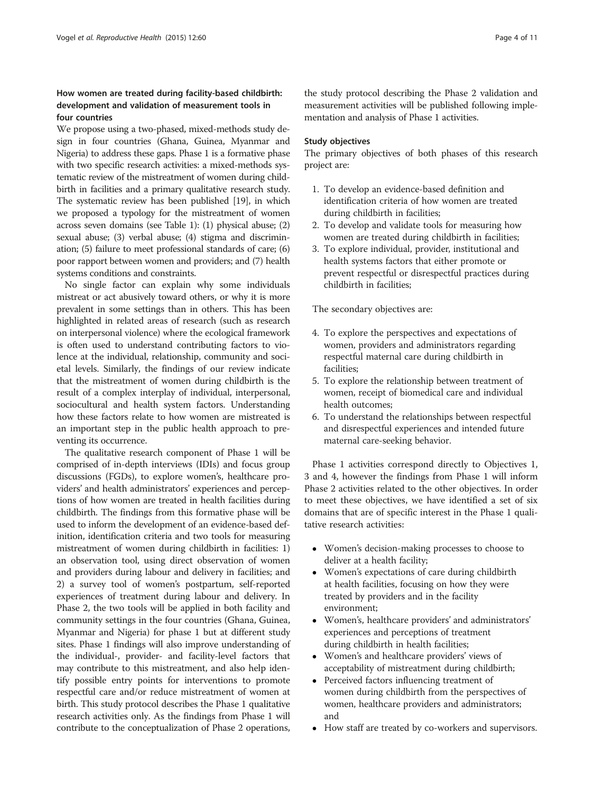# How women are treated during facility-based childbirth: development and validation of measurement tools in four countries

We propose using a two-phased, mixed-methods study design in four countries (Ghana, Guinea, Myanmar and Nigeria) to address these gaps. Phase 1 is a formative phase with two specific research activities: a mixed-methods systematic review of the mistreatment of women during childbirth in facilities and a primary qualitative research study. The systematic review has been published [\[19\]](#page-10-0), in which we proposed a typology for the mistreatment of women across seven domains (see Table [1](#page-2-0)): (1) physical abuse; (2) sexual abuse; (3) verbal abuse; (4) stigma and discrimination; (5) failure to meet professional standards of care; (6) poor rapport between women and providers; and (7) health systems conditions and constraints.

No single factor can explain why some individuals mistreat or act abusively toward others, or why it is more prevalent in some settings than in others. This has been highlighted in related areas of research (such as research on interpersonal violence) where the ecological framework is often used to understand contributing factors to violence at the individual, relationship, community and societal levels. Similarly, the findings of our review indicate that the mistreatment of women during childbirth is the result of a complex interplay of individual, interpersonal, sociocultural and health system factors. Understanding how these factors relate to how women are mistreated is an important step in the public health approach to preventing its occurrence.

The qualitative research component of Phase 1 will be comprised of in-depth interviews (IDIs) and focus group discussions (FGDs), to explore women's, healthcare providers' and health administrators' experiences and perceptions of how women are treated in health facilities during childbirth. The findings from this formative phase will be used to inform the development of an evidence-based definition, identification criteria and two tools for measuring mistreatment of women during childbirth in facilities: 1) an observation tool, using direct observation of women and providers during labour and delivery in facilities; and 2) a survey tool of women's postpartum, self-reported experiences of treatment during labour and delivery. In Phase 2, the two tools will be applied in both facility and community settings in the four countries (Ghana, Guinea, Myanmar and Nigeria) for phase 1 but at different study sites. Phase 1 findings will also improve understanding of the individual-, provider- and facility-level factors that may contribute to this mistreatment, and also help identify possible entry points for interventions to promote respectful care and/or reduce mistreatment of women at birth. This study protocol describes the Phase 1 qualitative research activities only. As the findings from Phase 1 will contribute to the conceptualization of Phase 2 operations,

the study protocol describing the Phase 2 validation and measurement activities will be published following implementation and analysis of Phase 1 activities.

## Study objectives

The primary objectives of both phases of this research project are:

- 1. To develop an evidence-based definition and identification criteria of how women are treated during childbirth in facilities;
- 2. To develop and validate tools for measuring how women are treated during childbirth in facilities;
- 3. To explore individual, provider, institutional and health systems factors that either promote or prevent respectful or disrespectful practices during childbirth in facilities;

The secondary objectives are:

- 4. To explore the perspectives and expectations of women, providers and administrators regarding respectful maternal care during childbirth in facilities;
- 5. To explore the relationship between treatment of women, receipt of biomedical care and individual health outcomes;
- 6. To understand the relationships between respectful and disrespectful experiences and intended future maternal care-seeking behavior.

Phase 1 activities correspond directly to Objectives 1, 3 and 4, however the findings from Phase 1 will inform Phase 2 activities related to the other objectives. In order to meet these objectives, we have identified a set of six domains that are of specific interest in the Phase 1 qualitative research activities:

- Women's decision-making processes to choose to deliver at a health facility;
- Women's expectations of care during childbirth at health facilities, focusing on how they were treated by providers and in the facility environment;
- Women's, healthcare providers' and administrators' experiences and perceptions of treatment during childbirth in health facilities;
- Women's and healthcare providers' views of acceptability of mistreatment during childbirth;
- Perceived factors influencing treatment of women during childbirth from the perspectives of women, healthcare providers and administrators; and
- How staff are treated by co-workers and supervisors.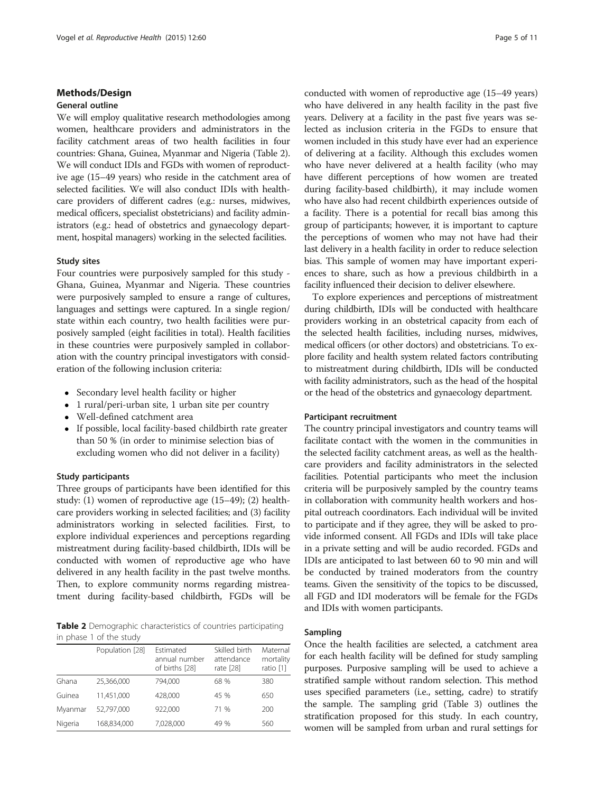#### Methods/Design

# General outline

We will employ qualitative research methodologies among women, healthcare providers and administrators in the facility catchment areas of two health facilities in four countries: Ghana, Guinea, Myanmar and Nigeria (Table 2). We will conduct IDIs and FGDs with women of reproductive age (15–49 years) who reside in the catchment area of selected facilities. We will also conduct IDIs with healthcare providers of different cadres (e.g.: nurses, midwives, medical officers, specialist obstetricians) and facility administrators (e.g.: head of obstetrics and gynaecology department, hospital managers) working in the selected facilities.

#### Study sites

Four countries were purposively sampled for this study - Ghana, Guinea, Myanmar and Nigeria. These countries were purposively sampled to ensure a range of cultures, languages and settings were captured. In a single region/ state within each country, two health facilities were purposively sampled (eight facilities in total). Health facilities in these countries were purposively sampled in collaboration with the country principal investigators with consideration of the following inclusion criteria:

- Secondary level health facility or higher
- 1 rural/peri-urban site, 1 urban site per country
- Well-defined catchment area
- If possible, local facility-based childbirth rate greater than 50 % (in order to minimise selection bias of excluding women who did not deliver in a facility)

#### Study participants

Three groups of participants have been identified for this study: (1) women of reproductive age (15–49); (2) healthcare providers working in selected facilities; and (3) facility administrators working in selected facilities. First, to explore individual experiences and perceptions regarding mistreatment during facility-based childbirth, IDIs will be conducted with women of reproductive age who have delivered in any health facility in the past twelve months. Then, to explore community norms regarding mistreatment during facility-based childbirth, FGDs will be

Table 2 Demographic characteristics of countries participating in phase 1 of the study

|         | Population [28] | Estimated<br>annual number<br>of births [28] | Skilled birth<br>attendance<br>rate [28] | Maternal<br>mortality<br>ratio [1] |
|---------|-----------------|----------------------------------------------|------------------------------------------|------------------------------------|
| Ghana   | 25,366,000      | 794.000                                      | 68 %                                     | 380                                |
| Guinea  | 11,451,000      | 428,000                                      | 45 %                                     | 650                                |
| Myanmar | 52.797.000      | 922,000                                      | 71 %                                     | 200                                |
| Nigeria | 168,834,000     | 7,028,000                                    | 49 %                                     | 560                                |

conducted with women of reproductive age (15–49 years) who have delivered in any health facility in the past five years. Delivery at a facility in the past five years was selected as inclusion criteria in the FGDs to ensure that women included in this study have ever had an experience of delivering at a facility. Although this excludes women who have never delivered at a health facility (who may have different perceptions of how women are treated during facility-based childbirth), it may include women who have also had recent childbirth experiences outside of a facility. There is a potential for recall bias among this group of participants; however, it is important to capture the perceptions of women who may not have had their last delivery in a health facility in order to reduce selection bias. This sample of women may have important experiences to share, such as how a previous childbirth in a facility influenced their decision to deliver elsewhere.

To explore experiences and perceptions of mistreatment during childbirth, IDIs will be conducted with healthcare providers working in an obstetrical capacity from each of the selected health facilities, including nurses, midwives, medical officers (or other doctors) and obstetricians. To explore facility and health system related factors contributing to mistreatment during childbirth, IDIs will be conducted with facility administrators, such as the head of the hospital or the head of the obstetrics and gynaecology department.

#### Participant recruitment

The country principal investigators and country teams will facilitate contact with the women in the communities in the selected facility catchment areas, as well as the healthcare providers and facility administrators in the selected facilities. Potential participants who meet the inclusion criteria will be purposively sampled by the country teams in collaboration with community health workers and hospital outreach coordinators. Each individual will be invited to participate and if they agree, they will be asked to provide informed consent. All FGDs and IDIs will take place in a private setting and will be audio recorded. FGDs and IDIs are anticipated to last between 60 to 90 min and will be conducted by trained moderators from the country teams. Given the sensitivity of the topics to be discussed, all FGD and IDI moderators will be female for the FGDs and IDIs with women participants.

# Sampling

Once the health facilities are selected, a catchment area for each health facility will be defined for study sampling purposes. Purposive sampling will be used to achieve a stratified sample without random selection. This method uses specified parameters (i.e., setting, cadre) to stratify the sample. The sampling grid (Table [3\)](#page-5-0) outlines the stratification proposed for this study. In each country, women will be sampled from urban and rural settings for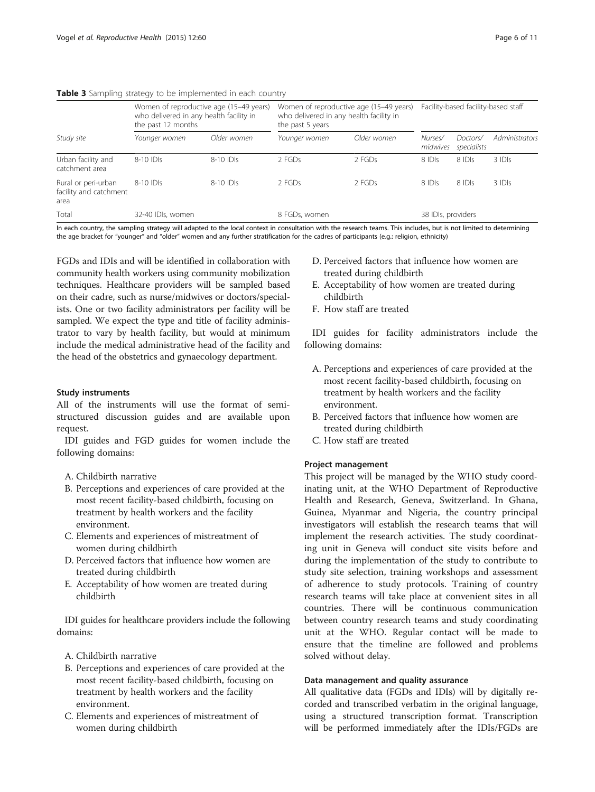|                                                       | Women of reproductive age (15-49 years)<br>who delivered in any health facility in<br>the past 12 months |             | Women of reproductive age (15-49 years)<br>who delivered in any health facility in<br>the past 5 years |             | Facility-based facility-based staff |                         |                |
|-------------------------------------------------------|----------------------------------------------------------------------------------------------------------|-------------|--------------------------------------------------------------------------------------------------------|-------------|-------------------------------------|-------------------------|----------------|
| Study site                                            | Younger women                                                                                            | Older women | Younger women                                                                                          | Older women | Nurses/<br>midwives                 | Doctors/<br>specialists | Administrators |
| Urban facility and<br>catchment area                  | $8-10$ IDIs                                                                                              | $8-10$ IDIs | $2$ FGDs                                                                                               | $2$ FGDs    | $8$ IDIs                            | $8$ IDIs                | $3$ IDIs       |
| Rural or peri-urban<br>facility and catchment<br>area | $8-10$ IDIs                                                                                              | $8-10$ IDIs | $2$ FGDs                                                                                               | $2$ FGDs    | 8 IDIS                              | $8$ IDIs                | 3 IDIS         |
| Total                                                 | 32-40 IDIs, women                                                                                        |             | 8 FGDs, women                                                                                          |             | 38 IDIs, providers                  |                         |                |

# <span id="page-5-0"></span>Table 3 Sampling strategy to be implemented in each country

In each country, the sampling strategy will adapted to the local context in consultation with the research teams. This includes, but is not limited to determining the age bracket for "younger" and "older" women and any further stratification for the cadres of participants (e.g.: religion, ethnicity)

FGDs and IDIs and will be identified in collaboration with community health workers using community mobilization techniques. Healthcare providers will be sampled based on their cadre, such as nurse/midwives or doctors/specialists. One or two facility administrators per facility will be sampled. We expect the type and title of facility administrator to vary by health facility, but would at minimum include the medical administrative head of the facility and the head of the obstetrics and gynaecology department.

# Study instruments

All of the instruments will use the format of semistructured discussion guides and are available upon request.

IDI guides and FGD guides for women include the following domains:

- A. Childbirth narrative
- B. Perceptions and experiences of care provided at the most recent facility-based childbirth, focusing on treatment by health workers and the facility environment.
- C. Elements and experiences of mistreatment of women during childbirth
- D. Perceived factors that influence how women are treated during childbirth
- E. Acceptability of how women are treated during childbirth

IDI guides for healthcare providers include the following domains:

- A. Childbirth narrative
- B. Perceptions and experiences of care provided at the most recent facility-based childbirth, focusing on treatment by health workers and the facility environment.
- C. Elements and experiences of mistreatment of women during childbirth
- D. Perceived factors that influence how women are treated during childbirth
- E. Acceptability of how women are treated during childbirth
- F. How staff are treated

IDI guides for facility administrators include the following domains:

- A. Perceptions and experiences of care provided at the most recent facility-based childbirth, focusing on treatment by health workers and the facility environment.
- B. Perceived factors that influence how women are treated during childbirth
- C. How staff are treated

# Project management

This project will be managed by the WHO study coordinating unit, at the WHO Department of Reproductive Health and Research, Geneva, Switzerland. In Ghana, Guinea, Myanmar and Nigeria, the country principal investigators will establish the research teams that will implement the research activities. The study coordinating unit in Geneva will conduct site visits before and during the implementation of the study to contribute to study site selection, training workshops and assessment of adherence to study protocols. Training of country research teams will take place at convenient sites in all countries. There will be continuous communication between country research teams and study coordinating unit at the WHO. Regular contact will be made to ensure that the timeline are followed and problems solved without delay.

# Data management and quality assurance

All qualitative data (FGDs and IDIs) will by digitally recorded and transcribed verbatim in the original language, using a structured transcription format. Transcription will be performed immediately after the IDIs/FGDs are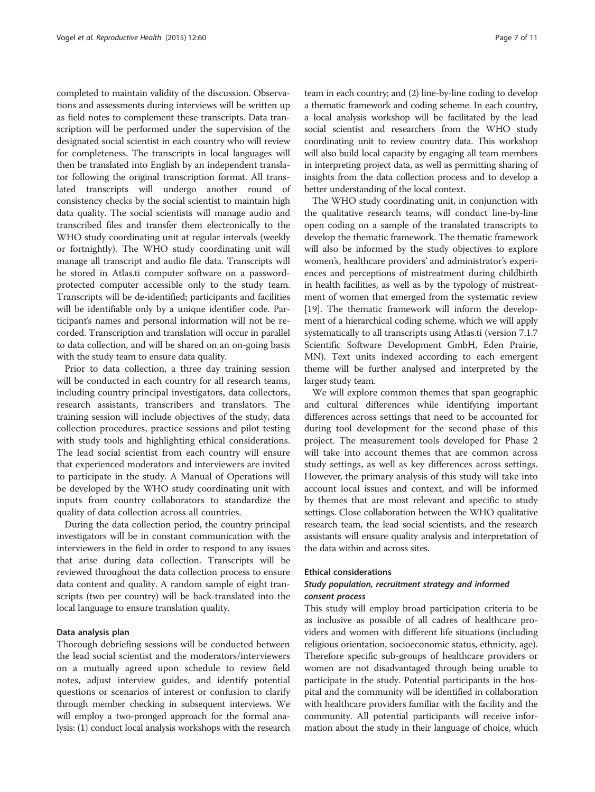completed to maintain validity of the discussion. Observations and assessments during interviews will be written up as field notes to complement these transcripts. Data transcription will be performed under the supervision of the designated social scientist in each country who will review for completeness. The transcripts in local languages will then be translated into English by an independent translator following the original transcription format. All translated transcripts will undergo another round of consistency checks by the social scientist to maintain high data quality. The social scientists will manage audio and transcribed files and transfer them electronically to the WHO study coordinating unit at regular intervals (weekly or fortnightly). The WHO study coordinating unit will manage all transcript and audio file data. Transcripts will be stored in Atlas.ti computer software on a passwordprotected computer accessible only to the study team. Transcripts will be de-identified; participants and facilities will be identifiable only by a unique identifier code. Participant's names and personal information will not be recorded. Transcription and translation will occur in parallel to data collection, and will be shared on an on-going basis with the study team to ensure data quality.

Prior to data collection, a three day training session will be conducted in each country for all research teams, including country principal investigators, data collectors, research assistants, transcribers and translators. The training session will include objectives of the study, data collection procedures, practice sessions and pilot testing with study tools and highlighting ethical considerations. The lead social scientist from each country will ensure that experienced moderators and interviewers are invited to participate in the study. A Manual of Operations will be developed by the WHO study coordinating unit with inputs from country collaborators to standardize the quality of data collection across all countries.

During the data collection period, the country principal investigators will be in constant communication with the interviewers in the field in order to respond to any issues that arise during data collection. Transcripts will be reviewed throughout the data collection process to ensure data content and quality. A random sample of eight transcripts (two per country) will be back-translated into the local language to ensure translation quality.

# Data analysis plan

Thorough debriefing sessions will be conducted between the lead social scientist and the moderators/interviewers on a mutually agreed upon schedule to review field notes, adjust interview guides, and identify potential questions or scenarios of interest or confusion to clarify through member checking in subsequent interviews. We will employ a two-pronged approach for the formal analysis: (1) conduct local analysis workshops with the research

team in each country; and (2) line-by-line coding to develop a thematic framework and coding scheme. In each country, a local analysis workshop will be facilitated by the lead social scientist and researchers from the WHO study coordinating unit to review country data. This workshop will also build local capacity by engaging all team members in interpreting project data, as well as permitting sharing of insights from the data collection process and to develop a better understanding of the local context.

The WHO study coordinating unit, in conjunction with the qualitative research teams, will conduct line-by-line open coding on a sample of the translated transcripts to develop the thematic framework. The thematic framework will also be informed by the study objectives to explore women's, healthcare providers' and administrator's experiences and perceptions of mistreatment during childbirth in health facilities, as well as by the typology of mistreatment of women that emerged from the systematic review [[19](#page-10-0)]. The thematic framework will inform the development of a hierarchical coding scheme, which we will apply systematically to all transcripts using Atlas.ti (version 7.1.7 Scientific Software Development GmbH, Eden Prairie, MN). Text units indexed according to each emergent theme will be further analysed and interpreted by the larger study team.

We will explore common themes that span geographic and cultural differences while identifying important differences across settings that need to be accounted for during tool development for the second phase of this project. The measurement tools developed for Phase 2 will take into account themes that are common across study settings, as well as key differences across settings. However, the primary analysis of this study will take into account local issues and context, and will be informed by themes that are most relevant and specific to study settings. Close collaboration between the WHO qualitative research team, the lead social scientists, and the research assistants will ensure quality analysis and interpretation of the data within and across sites.

#### Ethical considerations

# Study population, recruitment strategy and informed consent process

This study will employ broad participation criteria to be as inclusive as possible of all cadres of healthcare providers and women with different life situations (including religious orientation, socioeconomic status, ethnicity, age). Therefore specific sub-groups of healthcare providers or women are not disadvantaged through being unable to participate in the study. Potential participants in the hospital and the community will be identified in collaboration with healthcare providers familiar with the facility and the community. All potential participants will receive information about the study in their language of choice, which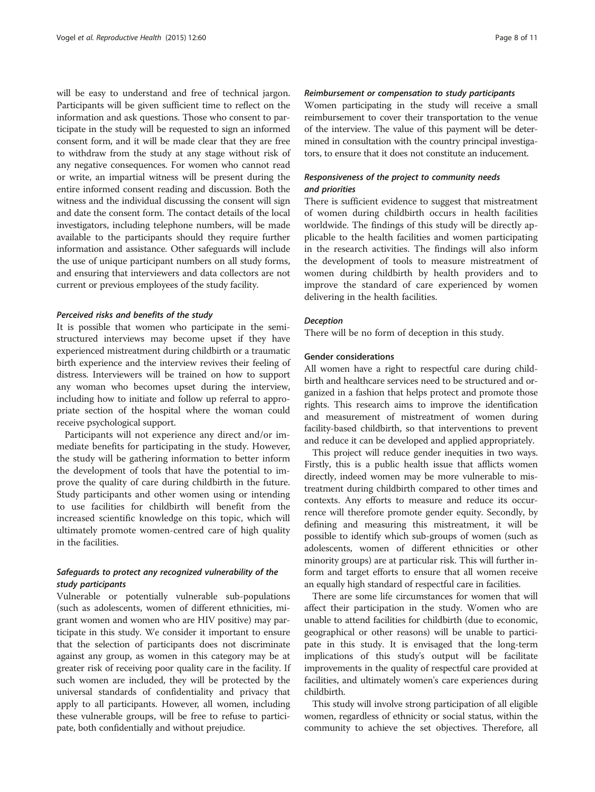will be easy to understand and free of technical jargon. Participants will be given sufficient time to reflect on the information and ask questions. Those who consent to participate in the study will be requested to sign an informed consent form, and it will be made clear that they are free to withdraw from the study at any stage without risk of any negative consequences. For women who cannot read or write, an impartial witness will be present during the entire informed consent reading and discussion. Both the witness and the individual discussing the consent will sign and date the consent form. The contact details of the local investigators, including telephone numbers, will be made available to the participants should they require further information and assistance. Other safeguards will include the use of unique participant numbers on all study forms, and ensuring that interviewers and data collectors are not current or previous employees of the study facility.

## Perceived risks and benefits of the study

It is possible that women who participate in the semistructured interviews may become upset if they have experienced mistreatment during childbirth or a traumatic birth experience and the interview revives their feeling of distress. Interviewers will be trained on how to support any woman who becomes upset during the interview, including how to initiate and follow up referral to appropriate section of the hospital where the woman could receive psychological support.

Participants will not experience any direct and/or immediate benefits for participating in the study. However, the study will be gathering information to better inform the development of tools that have the potential to improve the quality of care during childbirth in the future. Study participants and other women using or intending to use facilities for childbirth will benefit from the increased scientific knowledge on this topic, which will ultimately promote women-centred care of high quality in the facilities.

# Safeguards to protect any recognized vulnerability of the study participants

Vulnerable or potentially vulnerable sub-populations (such as adolescents, women of different ethnicities, migrant women and women who are HIV positive) may participate in this study. We consider it important to ensure that the selection of participants does not discriminate against any group, as women in this category may be at greater risk of receiving poor quality care in the facility. If such women are included, they will be protected by the universal standards of confidentiality and privacy that apply to all participants. However, all women, including these vulnerable groups, will be free to refuse to participate, both confidentially and without prejudice.

# Reimbursement or compensation to study participants

Women participating in the study will receive a small reimbursement to cover their transportation to the venue of the interview. The value of this payment will be determined in consultation with the country principal investigators, to ensure that it does not constitute an inducement.

# Responsiveness of the project to community needs and priorities

There is sufficient evidence to suggest that mistreatment of women during childbirth occurs in health facilities worldwide. The findings of this study will be directly applicable to the health facilities and women participating in the research activities. The findings will also inform the development of tools to measure mistreatment of women during childbirth by health providers and to improve the standard of care experienced by women delivering in the health facilities.

#### Deception

There will be no form of deception in this study.

#### Gender considerations

All women have a right to respectful care during childbirth and healthcare services need to be structured and organized in a fashion that helps protect and promote those rights. This research aims to improve the identification and measurement of mistreatment of women during facility-based childbirth, so that interventions to prevent and reduce it can be developed and applied appropriately.

This project will reduce gender inequities in two ways. Firstly, this is a public health issue that afflicts women directly, indeed women may be more vulnerable to mistreatment during childbirth compared to other times and contexts. Any efforts to measure and reduce its occurrence will therefore promote gender equity. Secondly, by defining and measuring this mistreatment, it will be possible to identify which sub-groups of women (such as adolescents, women of different ethnicities or other minority groups) are at particular risk. This will further inform and target efforts to ensure that all women receive an equally high standard of respectful care in facilities.

There are some life circumstances for women that will affect their participation in the study. Women who are unable to attend facilities for childbirth (due to economic, geographical or other reasons) will be unable to participate in this study. It is envisaged that the long-term implications of this study's output will be facilitate improvements in the quality of respectful care provided at facilities, and ultimately women's care experiences during childbirth.

This study will involve strong participation of all eligible women, regardless of ethnicity or social status, within the community to achieve the set objectives. Therefore, all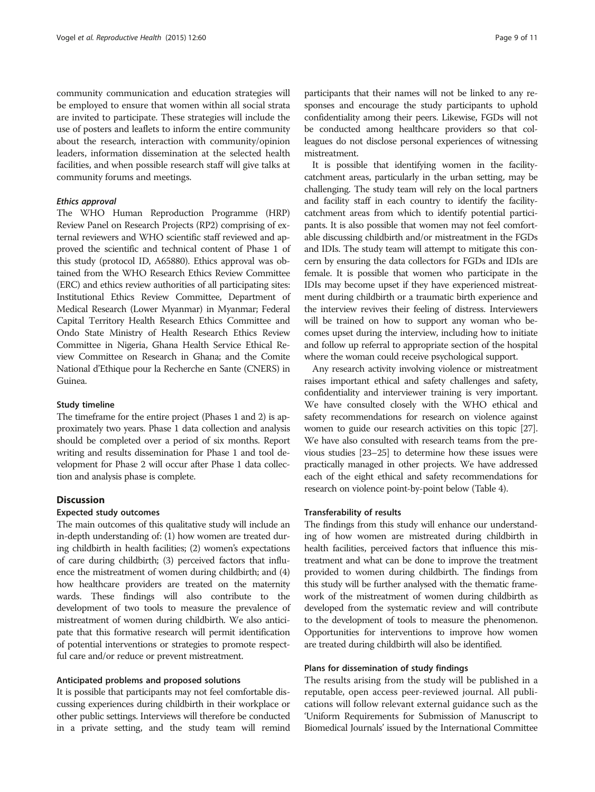community communication and education strategies will be employed to ensure that women within all social strata are invited to participate. These strategies will include the use of posters and leaflets to inform the entire community about the research, interaction with community/opinion leaders, information dissemination at the selected health facilities, and when possible research staff will give talks at community forums and meetings.

# Ethics approval

The WHO Human Reproduction Programme (HRP) Review Panel on Research Projects (RP2) comprising of external reviewers and WHO scientific staff reviewed and approved the scientific and technical content of Phase 1 of this study (protocol ID, A65880). Ethics approval was obtained from the WHO Research Ethics Review Committee (ERC) and ethics review authorities of all participating sites: Institutional Ethics Review Committee, Department of Medical Research (Lower Myanmar) in Myanmar; Federal Capital Territory Health Research Ethics Committee and Ondo State Ministry of Health Research Ethics Review Committee in Nigeria, Ghana Health Service Ethical Review Committee on Research in Ghana; and the Comite National d'Ethique pour la Recherche en Sante (CNERS) in Guinea.

#### Study timeline

The timeframe for the entire project (Phases 1 and 2) is approximately two years. Phase 1 data collection and analysis should be completed over a period of six months. Report writing and results dissemination for Phase 1 and tool development for Phase 2 will occur after Phase 1 data collection and analysis phase is complete.

# **Discussion**

# Expected study outcomes

The main outcomes of this qualitative study will include an in-depth understanding of: (1) how women are treated during childbirth in health facilities; (2) women's expectations of care during childbirth; (3) perceived factors that influence the mistreatment of women during childbirth; and (4) how healthcare providers are treated on the maternity wards. These findings will also contribute to the development of two tools to measure the prevalence of mistreatment of women during childbirth. We also anticipate that this formative research will permit identification of potential interventions or strategies to promote respectful care and/or reduce or prevent mistreatment.

#### Anticipated problems and proposed solutions

It is possible that participants may not feel comfortable discussing experiences during childbirth in their workplace or other public settings. Interviews will therefore be conducted in a private setting, and the study team will remind participants that their names will not be linked to any responses and encourage the study participants to uphold confidentiality among their peers. Likewise, FGDs will not be conducted among healthcare providers so that colleagues do not disclose personal experiences of witnessing mistreatment.

It is possible that identifying women in the facilitycatchment areas, particularly in the urban setting, may be challenging. The study team will rely on the local partners and facility staff in each country to identify the facilitycatchment areas from which to identify potential participants. It is also possible that women may not feel comfortable discussing childbirth and/or mistreatment in the FGDs and IDIs. The study team will attempt to mitigate this concern by ensuring the data collectors for FGDs and IDIs are female. It is possible that women who participate in the IDIs may become upset if they have experienced mistreatment during childbirth or a traumatic birth experience and the interview revives their feeling of distress. Interviewers will be trained on how to support any woman who becomes upset during the interview, including how to initiate and follow up referral to appropriate section of the hospital where the woman could receive psychological support.

Any research activity involving violence or mistreatment raises important ethical and safety challenges and safety, confidentiality and interviewer training is very important. We have consulted closely with the WHO ethical and safety recommendations for research on violence against women to guide our research activities on this topic [\[27](#page-10-0)]. We have also consulted with research teams from the previous studies [\[23](#page-10-0)–[25](#page-10-0)] to determine how these issues were practically managed in other projects. We have addressed each of the eight ethical and safety recommendations for research on violence point-by-point below (Table [4\)](#page-9-0).

### Transferability of results

The findings from this study will enhance our understanding of how women are mistreated during childbirth in health facilities, perceived factors that influence this mistreatment and what can be done to improve the treatment provided to women during childbirth. The findings from this study will be further analysed with the thematic framework of the mistreatment of women during childbirth as developed from the systematic review and will contribute to the development of tools to measure the phenomenon. Opportunities for interventions to improve how women are treated during childbirth will also be identified.

# Plans for dissemination of study findings

The results arising from the study will be published in a reputable, open access peer-reviewed journal. All publications will follow relevant external guidance such as the 'Uniform Requirements for Submission of Manuscript to Biomedical Journals' issued by the International Committee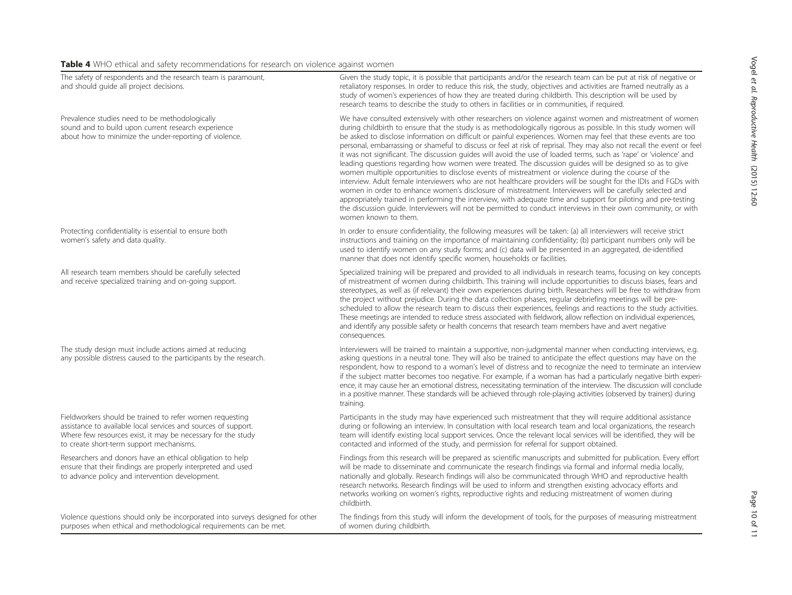# <span id="page-9-0"></span>Table 4 WHO ethical and safety recommendations for research on violence against women

| The safety of respondents and the research team is paramount,<br>and should quide all project decisions.                                                                                                                               | Given the study topic, it is possible that participants and/or the research team can be put at risk of negative or<br>retaliatory responses. In order to reduce this risk, the study, objectives and activities are framed neutrally as a<br>study of women's experiences of how they are treated during childbirth. This description will be used by<br>research teams to describe the study to others in facilities or in communities, if required.                                                                                                                                                                                                                                                                                                                                                                                                                                                                                                                                                                                                                                                                                                                                                                                                                                                         |
|----------------------------------------------------------------------------------------------------------------------------------------------------------------------------------------------------------------------------------------|---------------------------------------------------------------------------------------------------------------------------------------------------------------------------------------------------------------------------------------------------------------------------------------------------------------------------------------------------------------------------------------------------------------------------------------------------------------------------------------------------------------------------------------------------------------------------------------------------------------------------------------------------------------------------------------------------------------------------------------------------------------------------------------------------------------------------------------------------------------------------------------------------------------------------------------------------------------------------------------------------------------------------------------------------------------------------------------------------------------------------------------------------------------------------------------------------------------------------------------------------------------------------------------------------------------|
| Prevalence studies need to be methodologically<br>sound and to build upon current research experience<br>about how to minimize the under-reporting of violence.                                                                        | We have consulted extensively with other researchers on violence against women and mistreatment of women<br>during childbirth to ensure that the study is as methodologically rigorous as possible. In this study women will<br>be asked to disclose information on difficult or painful experiences. Women may feel that these events are too<br>personal, embarrassing or shameful to discuss or feel at risk of reprisal. They may also not recall the event or feel<br>it was not significant. The discussion quides will avoid the use of loaded terms, such as 'rape' or 'violence' and<br>leading questions regarding how women were treated. The discussion guides will be designed so as to give<br>women multiple opportunities to disclose events of mistreatment or violence during the course of the<br>interview. Adult female interviewers who are not healthcare providers will be sought for the IDIs and FGDs with<br>women in order to enhance women's disclosure of mistreatment. Interviewers will be carefully selected and<br>appropriately trained in performing the interview, with adequate time and support for piloting and pre-testing<br>the discussion quide. Interviewers will not be permitted to conduct interviews in their own community, or with<br>women known to them. |
| Protecting confidentiality is essential to ensure both<br>women's safety and data quality.                                                                                                                                             | In order to ensure confidentiality, the following measures will be taken: (a) all interviewers will receive strict<br>instructions and training on the importance of maintaining confidentiality; (b) participant numbers only will be<br>used to identify women on any study forms; and (c) data will be presented in an aggregated, de-identified<br>manner that does not identify specific women, households or facilities.                                                                                                                                                                                                                                                                                                                                                                                                                                                                                                                                                                                                                                                                                                                                                                                                                                                                                |
| All research team members should be carefully selected<br>and receive specialized training and on-going support.                                                                                                                       | Specialized training will be prepared and provided to all individuals in research teams, focusing on key concepts<br>of mistreatment of women during childbirth. This training will include opportunities to discuss biases, fears and<br>stereotypes, as well as (if relevant) their own experiences during birth. Researchers will be free to withdraw from<br>the project without prejudice. During the data collection phases, regular debriefing meetings will be pre-<br>scheduled to allow the research team to discuss their experiences, feelings and reactions to the study activities.<br>These meetings are intended to reduce stress associated with fieldwork, allow reflection on individual experiences,<br>and identify any possible safety or health concerns that research team members have and avert negative<br>consequences.                                                                                                                                                                                                                                                                                                                                                                                                                                                           |
| The study design must include actions aimed at reducing<br>any possible distress caused to the participants by the research.                                                                                                           | Interviewers will be trained to maintain a supportive, non-judgmental manner when conducting interviews, e.g.<br>asking questions in a neutral tone. They will also be trained to anticipate the effect questions may have on the<br>respondent, how to respond to a woman's level of distress and to recognize the need to terminate an interview<br>if the subject matter becomes too negative. For example, if a woman has had a particularly negative birth experi-<br>ence, it may cause her an emotional distress, necessitating termination of the interview. The discussion will conclude<br>in a positive manner. These standards will be achieved through role-playing activities (observed by trainers) during<br>training.                                                                                                                                                                                                                                                                                                                                                                                                                                                                                                                                                                        |
| Fieldworkers should be trained to refer women requesting<br>assistance to available local services and sources of support.<br>Where few resources exist, it may be necessary for the study<br>to create short-term support mechanisms. | Participants in the study may have experienced such mistreatment that they will require additional assistance<br>during or following an interview. In consultation with local research team and local organizations, the research<br>team will identify existing local support services. Once the relevant local services will be identified, they will be<br>contacted and informed of the study, and permission for referral for support obtained.                                                                                                                                                                                                                                                                                                                                                                                                                                                                                                                                                                                                                                                                                                                                                                                                                                                          |
| Researchers and donors have an ethical obligation to help<br>ensure that their findings are properly interpreted and used<br>to advance policy and intervention development.                                                           | Findings from this research will be prepared as scientific manuscripts and submitted for publication. Every effort<br>will be made to disseminate and communicate the research findings via formal and informal media locally,<br>nationally and globally. Research findings will also be communicated through WHO and reproductive health<br>research networks. Research findings will be used to inform and strengthen existing advocacy efforts and<br>networks working on women's rights, reproductive rights and reducing mistreatment of women during<br>childbirth.                                                                                                                                                                                                                                                                                                                                                                                                                                                                                                                                                                                                                                                                                                                                    |
| Violence questions should only be incorporated into surveys designed for other<br>purposes when ethical and methodological requirements can be met.                                                                                    | The findings from this study will inform the development of tools, for the purposes of measuring mistreatment<br>of women during childbirth.                                                                                                                                                                                                                                                                                                                                                                                                                                                                                                                                                                                                                                                                                                                                                                                                                                                                                                                                                                                                                                                                                                                                                                  |